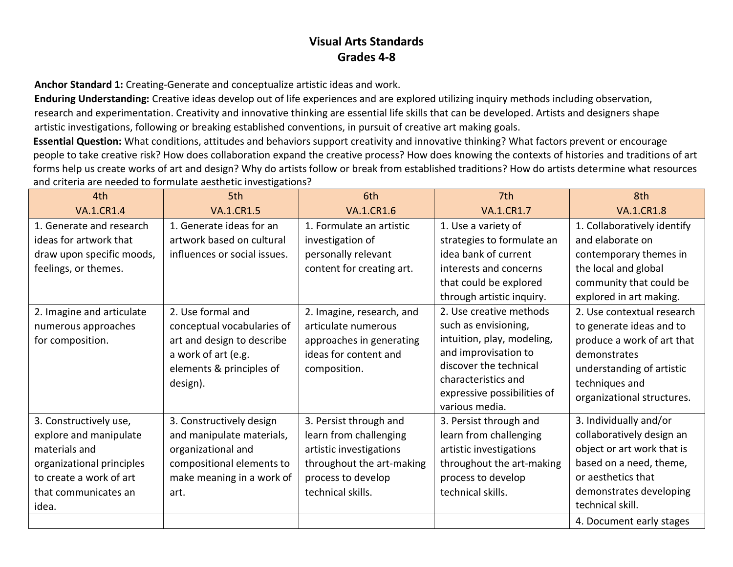**Anchor Standard 1:** Creating-Generate and conceptualize artistic ideas and work.

**Enduring Understanding:** Creative ideas develop out of life experiences and are explored utilizing inquiry methods including observation, research and experimentation. Creativity and innovative thinking are essential life skills that can be developed. Artists and designers shape artistic investigations, following or breaking established conventions, in pursuit of creative art making goals.

**Essential Question:** What conditions, attitudes and behaviors support creativity and innovative thinking? What factors prevent or encourage people to take creative risk? How does collaboration expand the creative process? How does knowing the contexts of histories and traditions of art forms help us create works of art and design? Why do artists follow or break from established traditions? How do artists determine what resources and criteria are needed to formulate aesthetic investigations?

| 4th                       | 5th                          | 6th                       | 7th                                           | 8th                         |
|---------------------------|------------------------------|---------------------------|-----------------------------------------------|-----------------------------|
| <b>VA.1.CR1.4</b>         | <b>VA.1.CR1.5</b>            | <b>VA.1.CR1.6</b>         | <b>VA.1.CR1.7</b>                             | <b>VA.1.CR1.8</b>           |
| 1. Generate and research  | 1. Generate ideas for an     | 1. Formulate an artistic  | 1. Use a variety of                           | 1. Collaboratively identify |
| ideas for artwork that    | artwork based on cultural    | investigation of          | strategies to formulate an                    | and elaborate on            |
| draw upon specific moods, | influences or social issues. | personally relevant       | idea bank of current                          | contemporary themes in      |
| feelings, or themes.      |                              | content for creating art. | interests and concerns                        | the local and global        |
|                           |                              |                           | that could be explored                        | community that could be     |
|                           |                              |                           | through artistic inquiry.                     | explored in art making.     |
| 2. Imagine and articulate | 2. Use formal and            | 2. Imagine, research, and | 2. Use creative methods                       | 2. Use contextual research  |
| numerous approaches       | conceptual vocabularies of   | articulate numerous       | such as envisioning,                          | to generate ideas and to    |
| for composition.          | art and design to describe   | approaches in generating  | intuition, play, modeling,                    | produce a work of art that  |
|                           | a work of art (e.g.          | ideas for content and     | and improvisation to                          | demonstrates                |
|                           | elements & principles of     | composition.              | discover the technical                        | understanding of artistic   |
|                           | design).                     |                           | characteristics and                           | techniques and              |
|                           |                              |                           | expressive possibilities of<br>various media. | organizational structures.  |
| 3. Constructively use,    | 3. Constructively design     | 3. Persist through and    | 3. Persist through and                        | 3. Individually and/or      |
| explore and manipulate    | and manipulate materials,    | learn from challenging    | learn from challenging                        | collaboratively design an   |
| materials and             | organizational and           | artistic investigations   | artistic investigations                       | object or art work that is  |
| organizational principles | compositional elements to    | throughout the art-making | throughout the art-making                     | based on a need, theme,     |
| to create a work of art   | make meaning in a work of    | process to develop        | process to develop                            | or aesthetics that          |
| that communicates an      | art.                         | technical skills.         | technical skills.                             | demonstrates developing     |
| idea.                     |                              |                           |                                               | technical skill.            |
|                           |                              |                           |                                               | 4. Document early stages    |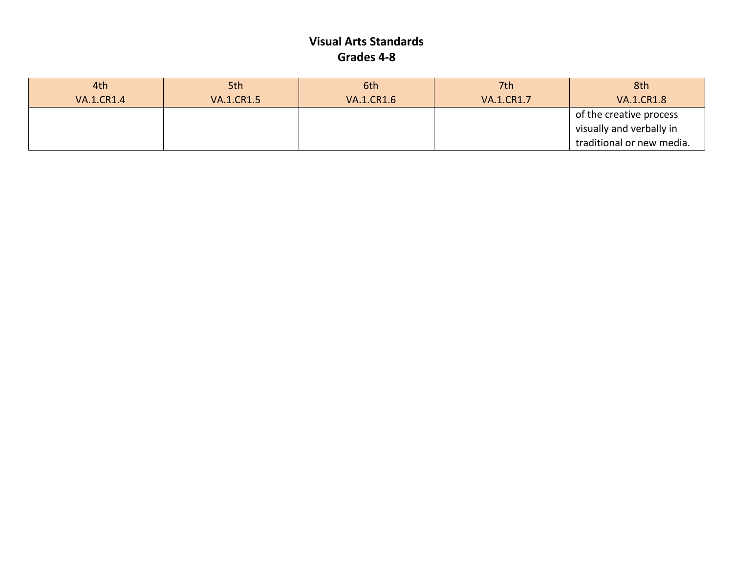| 4th               | 5th               | 6th               | 7th               | 8th                       |
|-------------------|-------------------|-------------------|-------------------|---------------------------|
| <b>VA.1.CR1.4</b> | <b>VA.1.CR1.5</b> | <b>VA.1.CR1.6</b> | <b>VA.1.CR1.7</b> | <b>VA.1.CR1.8</b>         |
|                   |                   |                   |                   | of the creative process   |
|                   |                   |                   |                   | visually and verbally in  |
|                   |                   |                   |                   | traditional or new media. |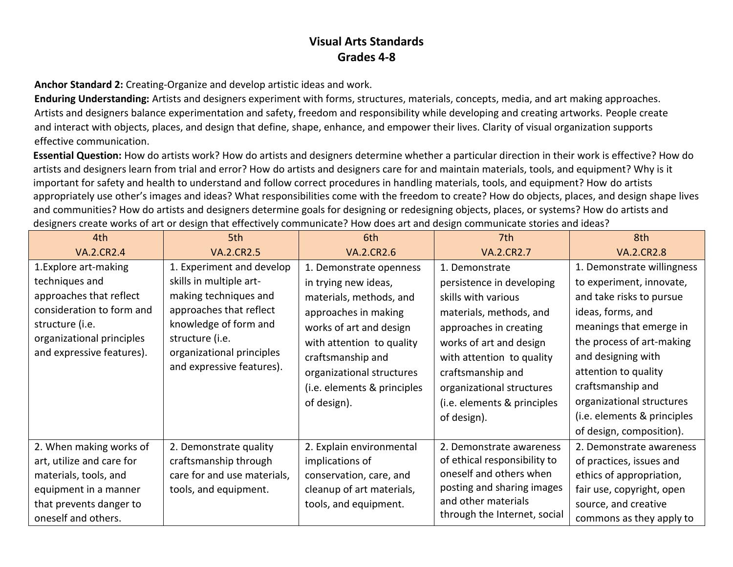**Anchor Standard 2:** Creating-Organize and develop artistic ideas and work.

**Enduring Understanding:** Artists and designers experiment with forms, structures, materials, concepts, media, and art making approaches. Artists and designers balance experimentation and safety, freedom and responsibility while developing and creating artworks. People create and interact with objects, places, and design that define, shape, enhance, and empower their lives. Clarity of visual organization supports effective communication.

**Essential Question:** How do artists work? How do artists and designers determine whether a particular direction in their work is effective? How do artists and designers learn from trial and error? How do artists and designers care for and maintain materials, tools, and equipment? Why is it important for safety and health to understand and follow correct procedures in handling materials, tools, and equipment? How do artists appropriately use other's images and ideas? What responsibilities come with the freedom to create? How do objects, places, and design shape lives and communities? How do artists and designers determine goals for designing or redesigning objects, places, or systems? How do artists and designers create works of art or design that effectively communicate? How does art and design communicate stories and ideas?

| 4th                                                                                                                                                                          | 5th                                                                                                                                                                                                            | 6th                                                                                                                                                                                                                                                        | 7th                                                                                                                                                                                                                                                                             | 8th                                                                                                                                                                                                                                                                                                                        |
|------------------------------------------------------------------------------------------------------------------------------------------------------------------------------|----------------------------------------------------------------------------------------------------------------------------------------------------------------------------------------------------------------|------------------------------------------------------------------------------------------------------------------------------------------------------------------------------------------------------------------------------------------------------------|---------------------------------------------------------------------------------------------------------------------------------------------------------------------------------------------------------------------------------------------------------------------------------|----------------------------------------------------------------------------------------------------------------------------------------------------------------------------------------------------------------------------------------------------------------------------------------------------------------------------|
| <b>VA.2.CR2.4</b>                                                                                                                                                            | <b>VA.2.CR2.5</b>                                                                                                                                                                                              | <b>VA.2.CR2.6</b>                                                                                                                                                                                                                                          | <b>VA.2.CR2.7</b>                                                                                                                                                                                                                                                               | <b>VA.2.CR2.8</b>                                                                                                                                                                                                                                                                                                          |
| 1. Explore art-making<br>techniques and<br>approaches that reflect<br>consideration to form and<br>structure (i.e.<br>organizational principles<br>and expressive features). | 1. Experiment and develop<br>skills in multiple art-<br>making techniques and<br>approaches that reflect<br>knowledge of form and<br>structure (i.e.<br>organizational principles<br>and expressive features). | 1. Demonstrate openness<br>in trying new ideas,<br>materials, methods, and<br>approaches in making<br>works of art and design<br>with attention to quality<br>craftsmanship and<br>organizational structures<br>(i.e. elements & principles<br>of design). | 1. Demonstrate<br>persistence in developing<br>skills with various<br>materials, methods, and<br>approaches in creating<br>works of art and design<br>with attention to quality<br>craftsmanship and<br>organizational structures<br>(i.e. elements & principles<br>of design). | 1. Demonstrate willingness<br>to experiment, innovate,<br>and take risks to pursue<br>ideas, forms, and<br>meanings that emerge in<br>the process of art-making<br>and designing with<br>attention to quality<br>craftsmanship and<br>organizational structures<br>(i.e. elements & principles<br>of design, composition). |
| 2. When making works of<br>art, utilize and care for<br>materials, tools, and<br>equipment in a manner<br>that prevents danger to<br>oneself and others.                     | 2. Demonstrate quality<br>craftsmanship through<br>care for and use materials,<br>tools, and equipment.                                                                                                        | 2. Explain environmental<br>implications of<br>conservation, care, and<br>cleanup of art materials,<br>tools, and equipment.                                                                                                                               | 2. Demonstrate awareness<br>of ethical responsibility to<br>oneself and others when<br>posting and sharing images<br>and other materials<br>through the Internet, social                                                                                                        | 2. Demonstrate awareness<br>of practices, issues and<br>ethics of appropriation,<br>fair use, copyright, open<br>source, and creative<br>commons as they apply to                                                                                                                                                          |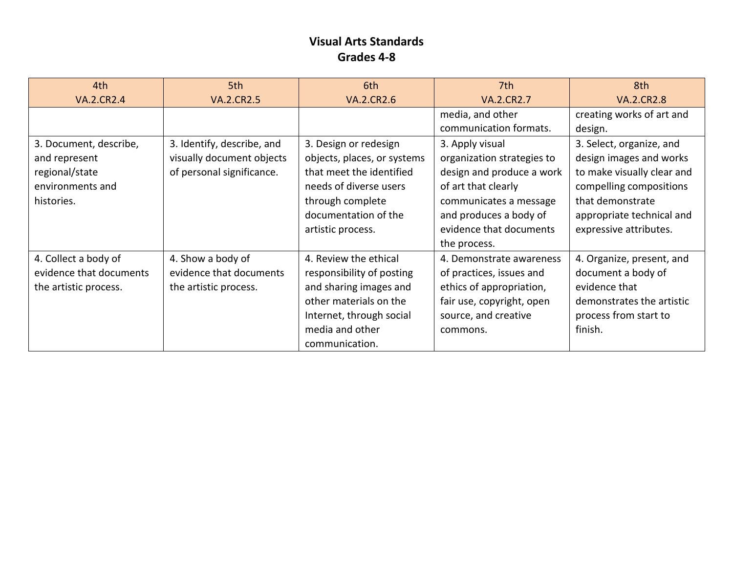| 4th                     | 5th                        | 6th                         | 7th                        | 8th                        |
|-------------------------|----------------------------|-----------------------------|----------------------------|----------------------------|
| <b>VA.2.CR2.4</b>       | <b>VA.2.CR2.5</b>          | <b>VA.2.CR2.6</b>           | <b>VA.2.CR2.7</b>          | <b>VA.2.CR2.8</b>          |
|                         |                            |                             | media, and other           | creating works of art and  |
|                         |                            |                             | communication formats.     | design.                    |
| 3. Document, describe,  | 3. Identify, describe, and | 3. Design or redesign       | 3. Apply visual            | 3. Select, organize, and   |
| and represent           | visually document objects  | objects, places, or systems | organization strategies to | design images and works    |
| regional/state          | of personal significance.  | that meet the identified    | design and produce a work  | to make visually clear and |
| environments and        |                            | needs of diverse users      | of art that clearly        | compelling compositions    |
| histories.              |                            | through complete            | communicates a message     | that demonstrate           |
|                         |                            | documentation of the        | and produces a body of     | appropriate technical and  |
|                         |                            | artistic process.           | evidence that documents    | expressive attributes.     |
|                         |                            |                             | the process.               |                            |
| 4. Collect a body of    | 4. Show a body of          | 4. Review the ethical       | 4. Demonstrate awareness   | 4. Organize, present, and  |
| evidence that documents | evidence that documents    | responsibility of posting   | of practices, issues and   | document a body of         |
| the artistic process.   | the artistic process.      | and sharing images and      | ethics of appropriation,   | evidence that              |
|                         |                            | other materials on the      | fair use, copyright, open  | demonstrates the artistic  |
|                         |                            | Internet, through social    | source, and creative       | process from start to      |
|                         |                            | media and other             | commons.                   | finish.                    |
|                         |                            | communication.              |                            |                            |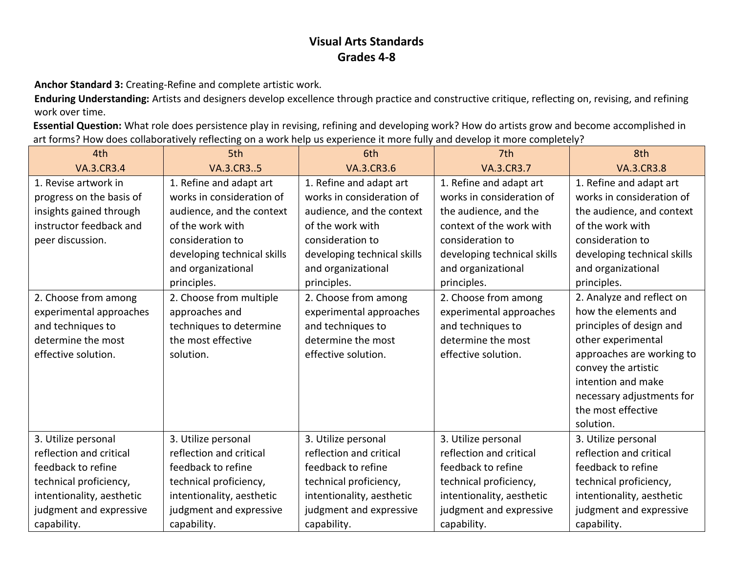**Anchor Standard 3:** Creating-Refine and complete artistic work.

**Enduring Understanding:** Artists and designers develop excellence through practice and constructive critique, reflecting on, revising, and refining work over time.

**Essential Question:** What role does persistence play in revising, refining and developing work? How do artists grow and become accomplished in art forms? How does collaboratively reflecting on a work help us experience it more fully and develop it more completely?

| 4th                       | 5th                         | 6th                         | 7th                         | 8th                         |
|---------------------------|-----------------------------|-----------------------------|-----------------------------|-----------------------------|
| <b>VA.3.CR3.4</b>         | <b>VA.3.CR35</b>            | <b>VA.3.CR3.6</b>           | <b>VA.3.CR3.7</b>           | <b>VA.3.CR3.8</b>           |
| 1. Revise artwork in      | 1. Refine and adapt art     | 1. Refine and adapt art     | 1. Refine and adapt art     | 1. Refine and adapt art     |
| progress on the basis of  | works in consideration of   | works in consideration of   | works in consideration of   | works in consideration of   |
| insights gained through   | audience, and the context   | audience, and the context   | the audience, and the       | the audience, and context   |
| instructor feedback and   | of the work with            | of the work with            | context of the work with    | of the work with            |
| peer discussion.          | consideration to            | consideration to            | consideration to            | consideration to            |
|                           | developing technical skills | developing technical skills | developing technical skills | developing technical skills |
|                           | and organizational          | and organizational          | and organizational          | and organizational          |
|                           | principles.                 | principles.                 | principles.                 | principles.                 |
| 2. Choose from among      | 2. Choose from multiple     | 2. Choose from among        | 2. Choose from among        | 2. Analyze and reflect on   |
| experimental approaches   | approaches and              | experimental approaches     | experimental approaches     | how the elements and        |
| and techniques to         | techniques to determine     | and techniques to           | and techniques to           | principles of design and    |
| determine the most        | the most effective          | determine the most          | determine the most          | other experimental          |
| effective solution.       | solution.                   | effective solution.         | effective solution.         | approaches are working to   |
|                           |                             |                             |                             | convey the artistic         |
|                           |                             |                             |                             | intention and make          |
|                           |                             |                             |                             | necessary adjustments for   |
|                           |                             |                             |                             | the most effective          |
|                           |                             |                             |                             | solution.                   |
| 3. Utilize personal       | 3. Utilize personal         | 3. Utilize personal         | 3. Utilize personal         | 3. Utilize personal         |
| reflection and critical   | reflection and critical     | reflection and critical     | reflection and critical     | reflection and critical     |
| feedback to refine        | feedback to refine          | feedback to refine          | feedback to refine          | feedback to refine          |
| technical proficiency,    | technical proficiency,      | technical proficiency,      | technical proficiency,      | technical proficiency,      |
| intentionality, aesthetic | intentionality, aesthetic   | intentionality, aesthetic   | intentionality, aesthetic   | intentionality, aesthetic   |
| judgment and expressive   | judgment and expressive     | judgment and expressive     | judgment and expressive     | judgment and expressive     |
| capability.               | capability.                 | capability.                 | capability.                 | capability.                 |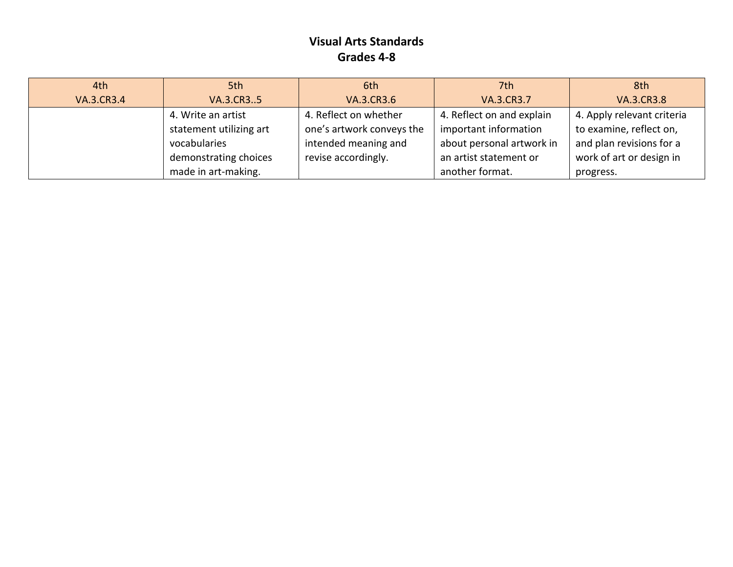| 4th               | 5th                     | 6th                       | 7th                       | 8th                        |
|-------------------|-------------------------|---------------------------|---------------------------|----------------------------|
| <b>VA.3.CR3.4</b> | VA.3.CR35               | <b>VA.3.CR3.6</b>         | <b>VA.3.CR3.7</b>         | <b>VA.3.CR3.8</b>          |
|                   | 4. Write an artist      | 4. Reflect on whether     | 4. Reflect on and explain | 4. Apply relevant criteria |
|                   | statement utilizing art | one's artwork conveys the | important information     | to examine, reflect on,    |
|                   | vocabularies            | intended meaning and      | about personal artwork in | and plan revisions for a   |
|                   | demonstrating choices   | revise accordingly.       | an artist statement or    | work of art or design in   |
|                   | made in art-making.     |                           | another format.           | progress.                  |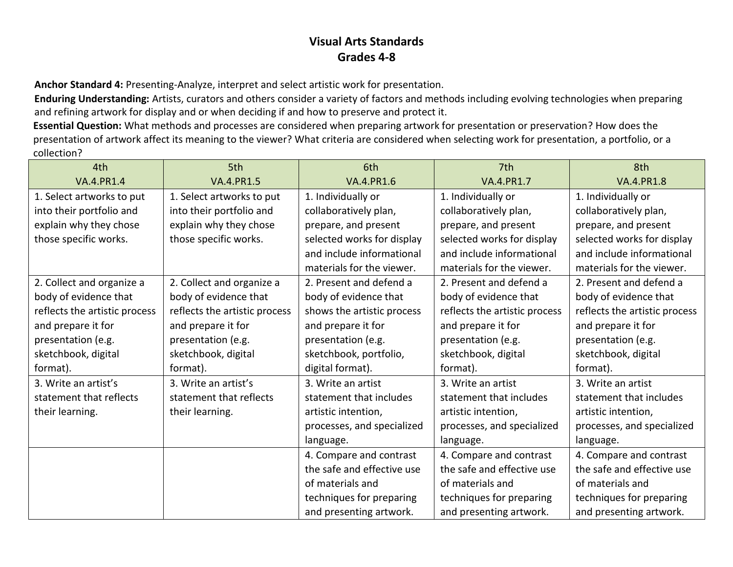**Anchor Standard 4:** Presenting-Analyze, interpret and select artistic work for presentation.

**Enduring Understanding:** Artists, curators and others consider a variety of factors and methods including evolving technologies when preparing and refining artwork for display and or when deciding if and how to preserve and protect it.

**Essential Question:** What methods and processes are considered when preparing artwork for presentation or preservation? How does the presentation of artwork affect its meaning to the viewer? What criteria are considered when selecting work for presentation, a portfolio, or a collection?

| 4th                           | 5th                           | 6th                        | 7 <sup>th</sup>               | 8th                           |
|-------------------------------|-------------------------------|----------------------------|-------------------------------|-------------------------------|
| <b>VA.4.PR1.4</b>             | <b>VA.4.PR1.5</b>             | <b>VA.4.PR1.6</b>          | <b>VA.4.PR1.7</b>             | <b>VA.4.PR1.8</b>             |
| 1. Select artworks to put     | 1. Select artworks to put     | 1. Individually or         | 1. Individually or            | 1. Individually or            |
| into their portfolio and      | into their portfolio and      | collaboratively plan,      | collaboratively plan,         | collaboratively plan,         |
| explain why they chose        | explain why they chose        | prepare, and present       | prepare, and present          | prepare, and present          |
| those specific works.         | those specific works.         | selected works for display | selected works for display    | selected works for display    |
|                               |                               | and include informational  | and include informational     | and include informational     |
|                               |                               | materials for the viewer.  | materials for the viewer.     | materials for the viewer.     |
| 2. Collect and organize a     | 2. Collect and organize a     | 2. Present and defend a    | 2. Present and defend a       | 2. Present and defend a       |
| body of evidence that         | body of evidence that         | body of evidence that      | body of evidence that         | body of evidence that         |
| reflects the artistic process | reflects the artistic process | shows the artistic process | reflects the artistic process | reflects the artistic process |
| and prepare it for            | and prepare it for            | and prepare it for         | and prepare it for            | and prepare it for            |
| presentation (e.g.            | presentation (e.g.            | presentation (e.g.         | presentation (e.g.            | presentation (e.g.            |
| sketchbook, digital           | sketchbook, digital           | sketchbook, portfolio,     | sketchbook, digital           | sketchbook, digital           |
| format).                      | format).                      | digital format).           | format).                      | format).                      |
| 3. Write an artist's          | 3. Write an artist's          | 3. Write an artist         | 3. Write an artist            | 3. Write an artist            |
| statement that reflects       | statement that reflects       | statement that includes    | statement that includes       | statement that includes       |
| their learning.               | their learning.               | artistic intention,        | artistic intention,           | artistic intention,           |
|                               |                               | processes, and specialized | processes, and specialized    | processes, and specialized    |
|                               |                               | language.                  | language.                     | language.                     |
|                               |                               | 4. Compare and contrast    | 4. Compare and contrast       | 4. Compare and contrast       |
|                               |                               | the safe and effective use | the safe and effective use    | the safe and effective use    |
|                               |                               | of materials and           | of materials and              | of materials and              |
|                               |                               | techniques for preparing   | techniques for preparing      | techniques for preparing      |
|                               |                               | and presenting artwork.    | and presenting artwork.       | and presenting artwork.       |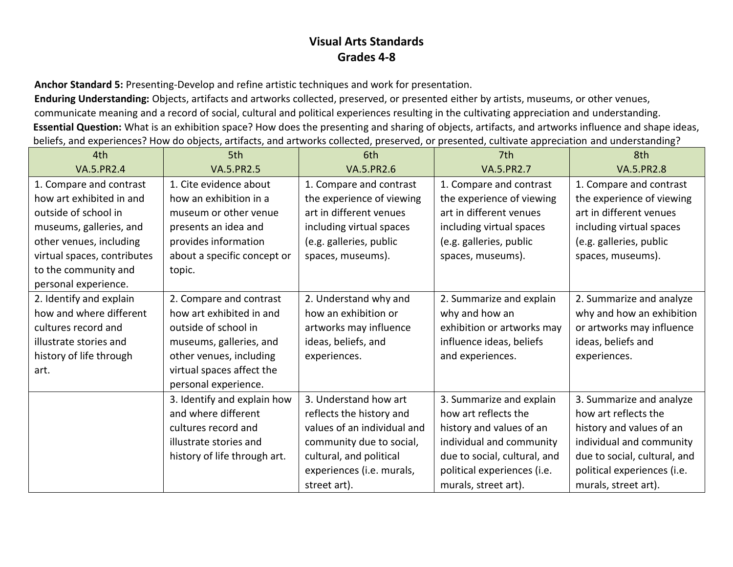**Anchor Standard 5:** Presenting-Develop and refine artistic techniques and work for presentation.

**Enduring Understanding:** Objects, artifacts and artworks collected, preserved, or presented either by artists, museums, or other venues, communicate meaning and a record of social, cultural and political experiences resulting in the cultivating appreciation and understanding. **Essential Question:** What is an exhibition space? How does the presenting and sharing of objects, artifacts, and artworks influence and shape ideas, beliefs, and experiences? How do objects, artifacts, and artworks collected, preserved, or presented, cultivate appreciation and understanding?

| 4th                         | 5th                          | 6th                         | 7th                          | 8th                          |
|-----------------------------|------------------------------|-----------------------------|------------------------------|------------------------------|
| <b>VA.5.PR2.4</b>           | <b>VA.5.PR2.5</b>            | <b>VA.5.PR2.6</b>           | <b>VA.5.PR2.7</b>            | <b>VA.5.PR2.8</b>            |
| 1. Compare and contrast     | 1. Cite evidence about       | 1. Compare and contrast     | 1. Compare and contrast      | 1. Compare and contrast      |
| how art exhibited in and    | how an exhibition in a       | the experience of viewing   | the experience of viewing    | the experience of viewing    |
| outside of school in        | museum or other venue        | art in different venues     | art in different venues      | art in different venues      |
| museums, galleries, and     | presents an idea and         | including virtual spaces    | including virtual spaces     | including virtual spaces     |
| other venues, including     | provides information         | (e.g. galleries, public     | (e.g. galleries, public      | (e.g. galleries, public      |
| virtual spaces, contributes | about a specific concept or  | spaces, museums).           | spaces, museums).            | spaces, museums).            |
| to the community and        | topic.                       |                             |                              |                              |
| personal experience.        |                              |                             |                              |                              |
| 2. Identify and explain     | 2. Compare and contrast      | 2. Understand why and       | 2. Summarize and explain     | 2. Summarize and analyze     |
| how and where different     | how art exhibited in and     | how an exhibition or        | why and how an               | why and how an exhibition    |
| cultures record and         | outside of school in         | artworks may influence      | exhibition or artworks may   | or artworks may influence    |
| illustrate stories and      | museums, galleries, and      | ideas, beliefs, and         | influence ideas, beliefs     | ideas, beliefs and           |
| history of life through     | other venues, including      | experiences.                | and experiences.             | experiences.                 |
| art.                        | virtual spaces affect the    |                             |                              |                              |
|                             | personal experience.         |                             |                              |                              |
|                             | 3. Identify and explain how  | 3. Understand how art       | 3. Summarize and explain     | 3. Summarize and analyze     |
|                             | and where different          | reflects the history and    | how art reflects the         | how art reflects the         |
|                             | cultures record and          | values of an individual and | history and values of an     | history and values of an     |
|                             | illustrate stories and       | community due to social,    | individual and community     | individual and community     |
|                             | history of life through art. | cultural, and political     | due to social, cultural, and | due to social, cultural, and |
|                             |                              | experiences (i.e. murals,   | political experiences (i.e.  | political experiences (i.e.  |
|                             |                              | street art).                | murals, street art).         | murals, street art).         |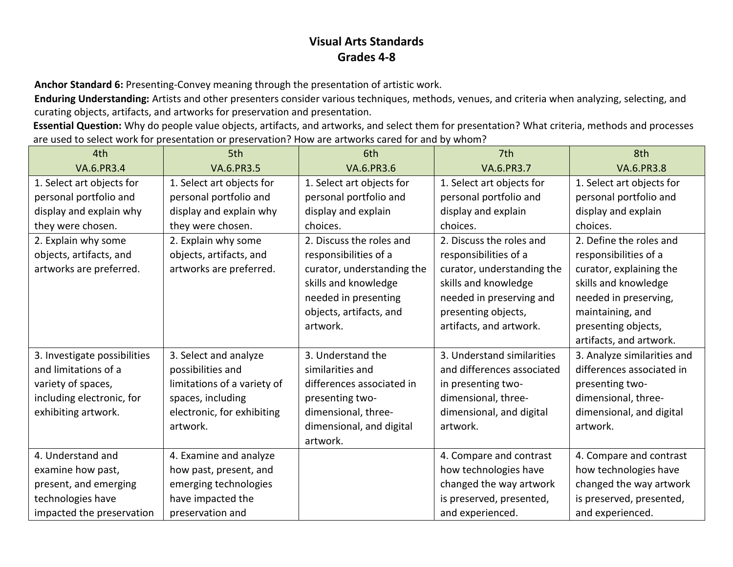**Anchor Standard 6:** Presenting-Convey meaning through the presentation of artistic work.

**Enduring Understanding:** Artists and other presenters consider various techniques, methods, venues, and criteria when analyzing, selecting, and curating objects, artifacts, and artworks for preservation and presentation.

**Essential Question:** Why do people value objects, artifacts, and artworks, and select them for presentation? What criteria, methods and processes are used to select work for presentation or preservation? How are artworks cared for and by whom?

| 4th                          | 5th                         | 6th                        | 7th                        | 8th                         |
|------------------------------|-----------------------------|----------------------------|----------------------------|-----------------------------|
| VA.6.PR3.4                   | <b>VA.6.PR3.5</b>           | <b>VA.6.PR3.6</b>          | <b>VA.6.PR3.7</b>          | <b>VA.6.PR3.8</b>           |
| 1. Select art objects for    | 1. Select art objects for   | 1. Select art objects for  | 1. Select art objects for  | 1. Select art objects for   |
| personal portfolio and       | personal portfolio and      | personal portfolio and     | personal portfolio and     | personal portfolio and      |
| display and explain why      | display and explain why     | display and explain        | display and explain        | display and explain         |
| they were chosen.            | they were chosen.           | choices.                   | choices.                   | choices.                    |
| 2. Explain why some          | 2. Explain why some         | 2. Discuss the roles and   | 2. Discuss the roles and   | 2. Define the roles and     |
| objects, artifacts, and      | objects, artifacts, and     | responsibilities of a      | responsibilities of a      | responsibilities of a       |
| artworks are preferred.      | artworks are preferred.     | curator, understanding the | curator, understanding the | curator, explaining the     |
|                              |                             | skills and knowledge       | skills and knowledge       | skills and knowledge        |
|                              |                             | needed in presenting       | needed in preserving and   | needed in preserving,       |
|                              |                             | objects, artifacts, and    | presenting objects,        | maintaining, and            |
|                              |                             | artwork.                   | artifacts, and artwork.    | presenting objects,         |
|                              |                             |                            |                            | artifacts, and artwork.     |
| 3. Investigate possibilities | 3. Select and analyze       | 3. Understand the          | 3. Understand similarities | 3. Analyze similarities and |
| and limitations of a         | possibilities and           | similarities and           | and differences associated | differences associated in   |
| variety of spaces,           | limitations of a variety of | differences associated in  | in presenting two-         | presenting two-             |
| including electronic, for    | spaces, including           | presenting two-            | dimensional, three-        | dimensional, three-         |
| exhibiting artwork.          | electronic, for exhibiting  | dimensional, three-        | dimensional, and digital   | dimensional, and digital    |
|                              | artwork.                    | dimensional, and digital   | artwork.                   | artwork.                    |
|                              |                             | artwork.                   |                            |                             |
| 4. Understand and            | 4. Examine and analyze      |                            | 4. Compare and contrast    | 4. Compare and contrast     |
| examine how past,            | how past, present, and      |                            | how technologies have      | how technologies have       |
| present, and emerging        | emerging technologies       |                            | changed the way artwork    | changed the way artwork     |
| technologies have            | have impacted the           |                            | is preserved, presented,   | is preserved, presented,    |
| impacted the preservation    | preservation and            |                            | and experienced.           | and experienced.            |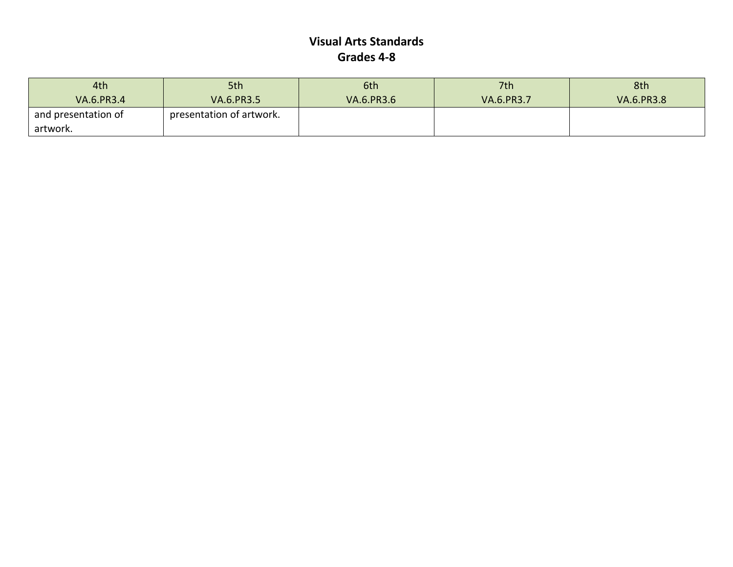| 4th                 | 5th                      | 6th               | 7th               | 8th               |
|---------------------|--------------------------|-------------------|-------------------|-------------------|
| <b>VA.6.PR3.4</b>   | <b>VA.6.PR3.5</b>        | <b>VA.6.PR3.6</b> | <b>VA.6.PR3.7</b> | <b>VA.6.PR3.8</b> |
| and presentation of | presentation of artwork. |                   |                   |                   |
| artwork.            |                          |                   |                   |                   |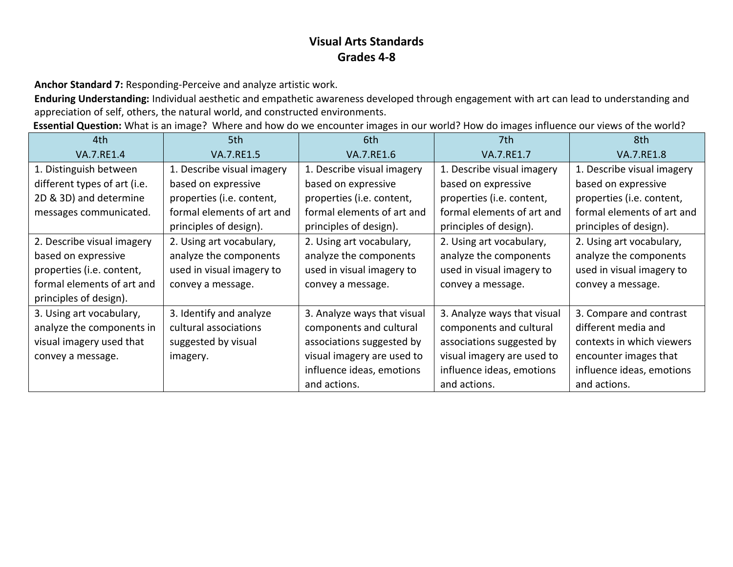**Anchor Standard 7:** Responding-Perceive and analyze artistic work.

**Enduring Understanding:** Individual aesthetic and empathetic awareness developed through engagement with art can lead to understanding and appreciation of self, others, the natural world, and constructed environments.

**Essential Question:** What is an image? Where and how do we encounter images in our world? How do images influence our views of the world?

| 4th.                         | 5th                        | 6th                         | 7th                         | 8th                        |
|------------------------------|----------------------------|-----------------------------|-----------------------------|----------------------------|
| <b>VA.7.RE1.4</b>            | <b>VA.7.RE1.5</b>          | <b>VA.7.RE1.6</b>           | VA.7.RE1.7                  | <b>VA.7.RE1.8</b>          |
| 1. Distinguish between       | 1. Describe visual imagery | 1. Describe visual imagery  | 1. Describe visual imagery  | 1. Describe visual imagery |
| different types of art (i.e. | based on expressive        | based on expressive         | based on expressive         | based on expressive        |
| 2D & 3D) and determine       | properties (i.e. content,  | properties (i.e. content,   | properties (i.e. content,   | properties (i.e. content,  |
| messages communicated.       | formal elements of art and | formal elements of art and  | formal elements of art and  | formal elements of art and |
|                              | principles of design).     | principles of design).      | principles of design).      | principles of design).     |
| 2. Describe visual imagery   | 2. Using art vocabulary,   | 2. Using art vocabulary,    | 2. Using art vocabulary,    | 2. Using art vocabulary,   |
| based on expressive          | analyze the components     | analyze the components      | analyze the components      | analyze the components     |
| properties (i.e. content,    | used in visual imagery to  | used in visual imagery to   | used in visual imagery to   | used in visual imagery to  |
| formal elements of art and   | convey a message.          | convey a message.           | convey a message.           | convey a message.          |
| principles of design).       |                            |                             |                             |                            |
| 3. Using art vocabulary,     | 3. Identify and analyze    | 3. Analyze ways that visual | 3. Analyze ways that visual | 3. Compare and contrast    |
| analyze the components in    | cultural associations      | components and cultural     | components and cultural     | different media and        |
| visual imagery used that     | suggested by visual        | associations suggested by   | associations suggested by   | contexts in which viewers  |
| convey a message.            | imagery.                   | visual imagery are used to  | visual imagery are used to  | encounter images that      |
|                              |                            | influence ideas, emotions   | influence ideas, emotions   | influence ideas, emotions  |
|                              |                            | and actions.                | and actions.                | and actions.               |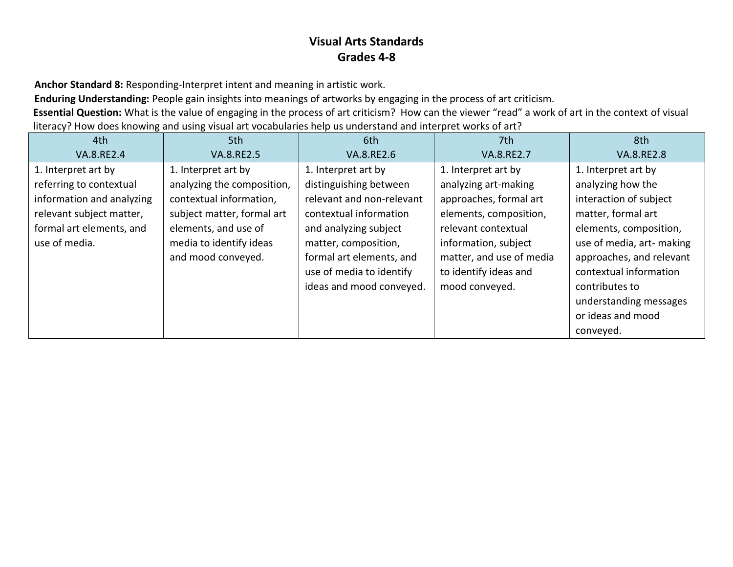**Anchor Standard 8:** Responding-Interpret intent and meaning in artistic work.

**Enduring Understanding:** People gain insights into meanings of artworks by engaging in the process of art criticism.

**Essential Question:** What is the value of engaging in the process of art criticism? How can the viewer "read" a work of art in the context of visual literacy? How does knowing and using visual art vocabularies help us understand and interpret works of art?

| 4th                       | 5th                        | 6th                       | 7th                      | 8th                       |
|---------------------------|----------------------------|---------------------------|--------------------------|---------------------------|
| <b>VA.8.RE2.4</b>         | <b>VA.8.RE2.5</b>          | <b>VA.8.RE2.6</b>         | VA.8.RE2.7               | <b>VA.8.RE2.8</b>         |
| 1. Interpret art by       | 1. Interpret art by        | 1. Interpret art by       | 1. Interpret art by      | 1. Interpret art by       |
| referring to contextual   | analyzing the composition, | distinguishing between    | analyzing art-making     | analyzing how the         |
| information and analyzing | contextual information,    | relevant and non-relevant | approaches, formal art   | interaction of subject    |
| relevant subject matter,  | subject matter, formal art | contextual information    | elements, composition,   | matter, formal art        |
| formal art elements, and  | elements, and use of       | and analyzing subject     | relevant contextual      | elements, composition,    |
| use of media.             | media to identify ideas    | matter, composition,      | information, subject     | use of media, art- making |
|                           | and mood conveyed.         | formal art elements, and  | matter, and use of media | approaches, and relevant  |
|                           |                            | use of media to identify  | to identify ideas and    | contextual information    |
|                           |                            | ideas and mood conveyed.  | mood conveyed.           | contributes to            |
|                           |                            |                           |                          | understanding messages    |
|                           |                            |                           |                          | or ideas and mood         |
|                           |                            |                           |                          | conveyed.                 |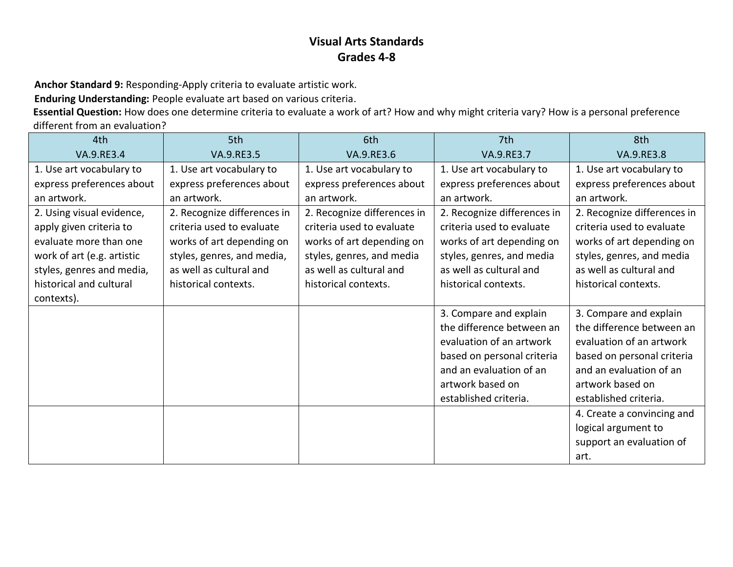**Anchor Standard 9:** Responding-Apply criteria to evaluate artistic work.

**Enduring Understanding:** People evaluate art based on various criteria.

**Essential Question:** How does one determine criteria to evaluate a work of art? How and why might criteria vary? How is a personal preference different from an evaluation?

| 4th                        | 5th                         | 6th                         | 7th                         | 8th                         |
|----------------------------|-----------------------------|-----------------------------|-----------------------------|-----------------------------|
| VA.9.RE3.4                 | VA.9.RE3.5                  | VA.9.RE3.6                  | VA.9.RE3.7                  | <b>VA.9.RE3.8</b>           |
| 1. Use art vocabulary to   | 1. Use art vocabulary to    | 1. Use art vocabulary to    | 1. Use art vocabulary to    | 1. Use art vocabulary to    |
| express preferences about  | express preferences about   | express preferences about   | express preferences about   | express preferences about   |
| an artwork.                | an artwork.                 | an artwork.                 | an artwork.                 | an artwork.                 |
| 2. Using visual evidence,  | 2. Recognize differences in | 2. Recognize differences in | 2. Recognize differences in | 2. Recognize differences in |
| apply given criteria to    | criteria used to evaluate   | criteria used to evaluate   | criteria used to evaluate   | criteria used to evaluate   |
| evaluate more than one     | works of art depending on   | works of art depending on   | works of art depending on   | works of art depending on   |
| work of art (e.g. artistic | styles, genres, and media,  | styles, genres, and media   | styles, genres, and media   | styles, genres, and media   |
| styles, genres and media,  | as well as cultural and     | as well as cultural and     | as well as cultural and     | as well as cultural and     |
| historical and cultural    | historical contexts.        | historical contexts.        | historical contexts.        | historical contexts.        |
| contexts).                 |                             |                             |                             |                             |
|                            |                             |                             | 3. Compare and explain      | 3. Compare and explain      |
|                            |                             |                             | the difference between an   | the difference between an   |
|                            |                             |                             | evaluation of an artwork    | evaluation of an artwork    |
|                            |                             |                             | based on personal criteria  | based on personal criteria  |
|                            |                             |                             | and an evaluation of an     | and an evaluation of an     |
|                            |                             |                             | artwork based on            | artwork based on            |
|                            |                             |                             | established criteria.       | established criteria.       |
|                            |                             |                             |                             | 4. Create a convincing and  |
|                            |                             |                             |                             | logical argument to         |
|                            |                             |                             |                             | support an evaluation of    |
|                            |                             |                             |                             | art.                        |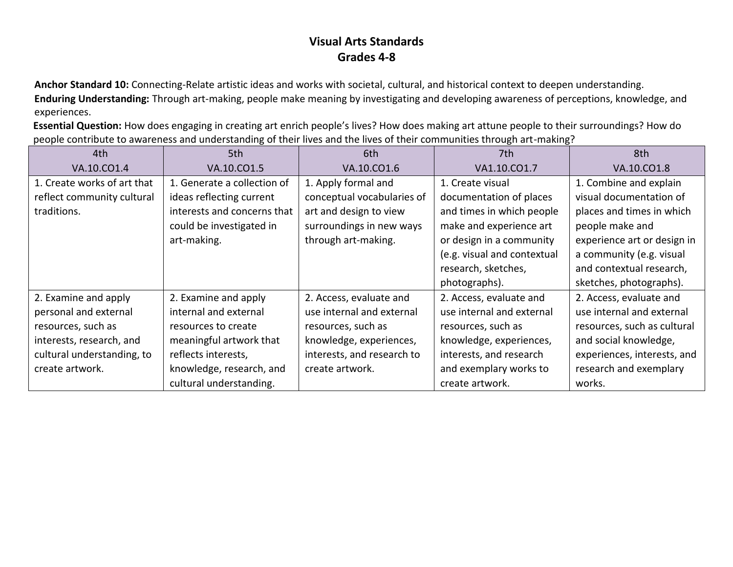**Anchor Standard 10:** Connecting-Relate artistic ideas and works with societal, cultural, and historical context to deepen understanding. **Enduring Understanding:** Through art-making, people make meaning by investigating and developing awareness of perceptions, knowledge, and experiences.

**Essential Question:** How does engaging in creating art enrich people's lives? How does making art attune people to their surroundings? How do people contribute to awareness and understanding of their lives and the lives of their communities through art-making?

| 4th                         | 5th                         | 6th                        | 7th                         | 8th                         |
|-----------------------------|-----------------------------|----------------------------|-----------------------------|-----------------------------|
| VA.10.CO1.4                 | VA.10.CO1.5                 | VA.10.CO1.6                | VA1.10.CO1.7                | VA.10.CO1.8                 |
| 1. Create works of art that | 1. Generate a collection of | 1. Apply formal and        | 1. Create visual            | 1. Combine and explain      |
| reflect community cultural  | ideas reflecting current    | conceptual vocabularies of | documentation of places     | visual documentation of     |
| traditions.                 | interests and concerns that | art and design to view     | and times in which people   | places and times in which   |
|                             | could be investigated in    | surroundings in new ways   | make and experience art     | people make and             |
|                             | art-making.                 | through art-making.        | or design in a community    | experience art or design in |
|                             |                             |                            | (e.g. visual and contextual | a community (e.g. visual    |
|                             |                             |                            | research, sketches,         | and contextual research,    |
|                             |                             |                            | photographs).               | sketches, photographs).     |
| 2. Examine and apply        | 2. Examine and apply        | 2. Access, evaluate and    | 2. Access, evaluate and     | 2. Access, evaluate and     |
| personal and external       | internal and external       | use internal and external  | use internal and external   | use internal and external   |
| resources, such as          | resources to create         | resources, such as         | resources, such as          | resources, such as cultural |
| interests, research, and    | meaningful artwork that     | knowledge, experiences,    | knowledge, experiences,     | and social knowledge,       |
| cultural understanding, to  | reflects interests,         | interests, and research to | interests, and research     | experiences, interests, and |
| create artwork.             | knowledge, research, and    | create artwork.            | and exemplary works to      | research and exemplary      |
|                             | cultural understanding.     |                            | create artwork.             | works.                      |